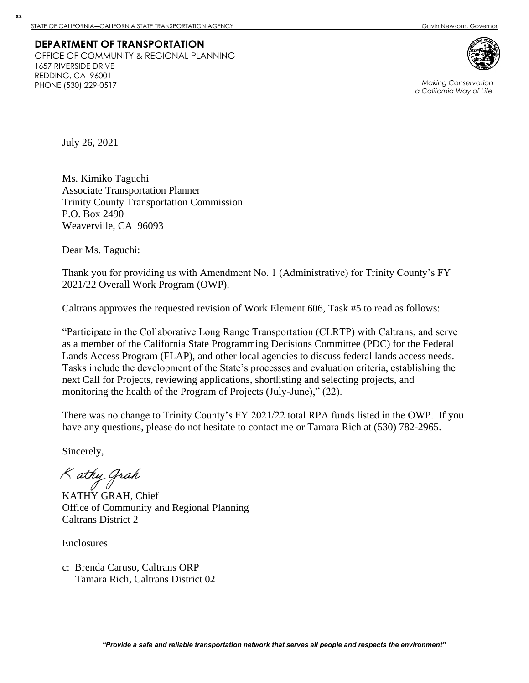### **DEPARTMENT OF TRANSPORTATION** OFFICE OF COMMUNITY & REGIONAL PLANNING 1657 RIVERSIDE DRIVE REDDING, CA 96001 PHONE (530) 229-0517 *Making Conservation*



*a California Way of Life.*

July 26, 2021

**xz**

Ms. Kimiko Taguchi Associate Transportation Planner Trinity County Transportation Commission P.O. Box 2490 Weaverville, CA 96093

Dear Ms. Taguchi:

Thank you for providing us with Amendment No. 1 (Administrative) for Trinity County's FY 2021/22 Overall Work Program (OWP).

Caltrans approves the requested revision of Work Element 606, Task #5 to read as follows:

"Participate in the Collaborative Long Range Transportation (CLRTP) with Caltrans, and serve as a member of the California State Programming Decisions Committee (PDC) for the Federal Lands Access Program (FLAP), and other local agencies to discuss federal lands access needs. Tasks include the development of the State's processes and evaluation criteria, establishing the next Call for Projects, reviewing applications, shortlisting and selecting projects, and monitoring the health of the Program of Projects (July-June)," (22).

There was no change to Trinity County's FY 2021/22 total RPA funds listed in the OWP. If you have any questions, please do not hesitate to contact me or Tamara Rich at (530) 782-2965.

Sincerely,

K athy Grah

KATHY GRAH, Chief Office of Community and Regional Planning Caltrans District 2

**Enclosures** 

c: Brenda Caruso, Caltrans ORP Tamara Rich, Caltrans District 02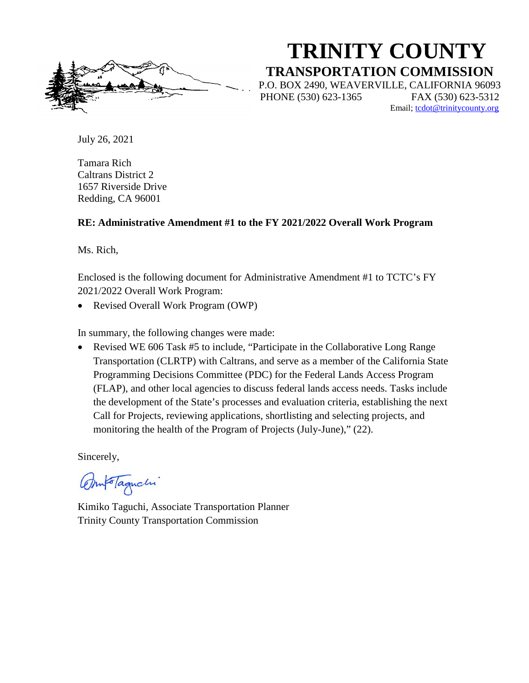**TRINITY COUNTY TRANSPORTATION COMMISSION** P.O. BOX 2490, WEAVERVILLE, CALIFORNIA 96093 PHONE (530) 623-1365 FAX (530) 623-5312 Email; [tcdot@trinitycounty.org](mailto:tcdot@trinitycounty.org)

July 26, 2021

Tamara Rich Caltrans District 2 1657 Riverside Drive Redding, CA 96001

### **RE: Administrative Amendment #1 to the FY 2021/2022 Overall Work Program**

Ms. Rich,

Enclosed is the following document for Administrative Amendment #1 to TCTC's FY 2021/2022 Overall Work Program:

• Revised Overall Work Program (OWP)

In summary, the following changes were made:

• Revised WE 606 Task #5 to include, "Participate in the Collaborative Long Range Transportation (CLRTP) with Caltrans, and serve as a member of the California State Programming Decisions Committee (PDC) for the Federal Lands Access Program (FLAP), and other local agencies to discuss federal lands access needs. Tasks include the development of the State's processes and evaluation criteria, establishing the next Call for Projects, reviewing applications, shortlisting and selecting projects, and monitoring the health of the Program of Projects (July-June)," (22).

Sincerely,

motaqueli

Kimiko Taguchi, Associate Transportation Planner Trinity County Transportation Commission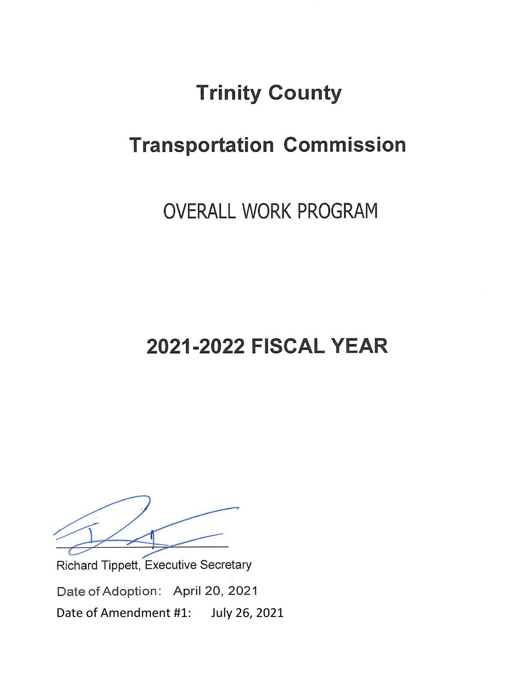# **Trinity County**

# **Transportation Commission**

## **OVERALL WORK PROGRAM**

# **2021-2022 FISCAL YEAR**

Richard Tippett, Executive Secretary Date of Adoption: April 20, 2021 July 26, 2021 Date of Amendment #1: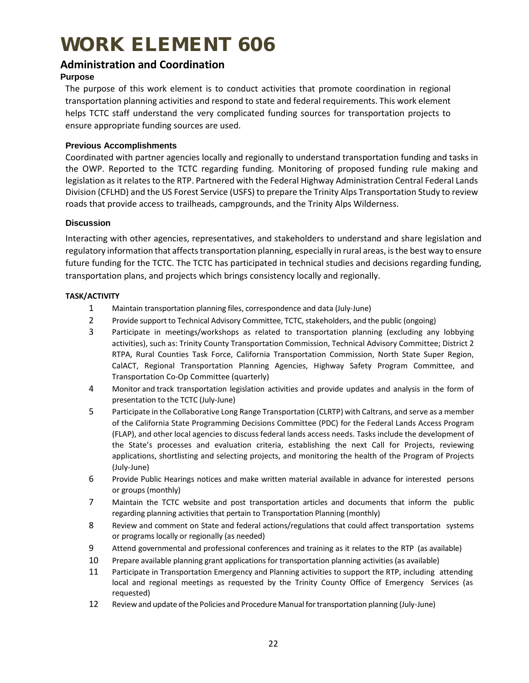# WORK ELEMENT 606

### **Administration and Coordination**

### **Purpose**

The purpose of this work element is to conduct activities that promote coordination in regional transportation planning activities and respond to state and federal requirements. This work element helps TCTC staff understand the very complicated funding sources for transportation projects to ensure appropriate funding sources are used.

### **Previous Accomplishments**

Coordinated with partner agencies locally and regionally to understand transportation funding and tasks in the OWP. Reported to the TCTC regarding funding. Monitoring of proposed funding rule making and legislation as it relates to the RTP. Partnered with the Federal Highway Administration Central Federal Lands Division (CFLHD) and the US Forest Service (USFS) to prepare the Trinity Alps Transportation Study to review roads that provide access to trailheads, campgrounds, and the Trinity Alps Wilderness.

### **Discussion**

Interacting with other agencies, representatives, and stakeholders to understand and share legislation and regulatory information that affects transportation planning, especially in rural areas, is the best way to ensure future funding for the TCTC. The TCTC has participated in technical studies and decisions regarding funding, transportation plans, and projects which brings consistency locally and regionally.

### **TASK/ACTIVITY**

- 1 Maintain transportation planning files, correspondence and data (July-June)
- 2 Provide support to Technical Advisory Committee, TCTC, stakeholders, and the public (ongoing)
- 3 Participate in meetings/workshops as related to transportation planning (excluding any lobbying activities), such as: Trinity County Transportation Commission, Technical Advisory Committee; District 2 RTPA, Rural Counties Task Force, California Transportation Commission, North State Super Region, CalACT, Regional Transportation Planning Agencies, Highway Safety Program Committee, and Transportation Co-Op Committee (quarterly)
- 4 Monitor and track transportation legislation activities and provide updates and analysis in the form of presentation to the TCTC (July-June)
- 5 Participate in the Collaborative Long Range Transportation (CLRTP) with Caltrans, and serve as a member of the California State Programming Decisions Committee (PDC) for the Federal Lands Access Program (FLAP), and other local agencies to discuss federal lands access needs. Tasks include the development of the State's processes and evaluation criteria, establishing the next Call for Projects, reviewing applications, shortlisting and selecting projects, and monitoring the health of the Program of Projects (July-June)
- 6 Provide Public Hearings notices and make written material available in advance for interested persons or groups (monthly)
- 7 Maintain the TCTC website and post transportation articles and documents that inform the public regarding planning activities that pertain to Transportation Planning (monthly)
- 8 Review and comment on State and federal actions/regulations that could affect transportation systems or programs locally or regionally (as needed)
- 9 Attend governmental and professional conferences and training as it relates to the RTP (as available)
- 10 Prepare available planning grant applications for transportation planning activities (as available)
- 11 Participate in Transportation Emergency and Planning activities to support the RTP, including attending local and regional meetings as requested by the Trinity County Office of Emergency Services (as requested)
- 12 Review and update ofthe Policies and ProcedureManual fortransportation planning (July-June)